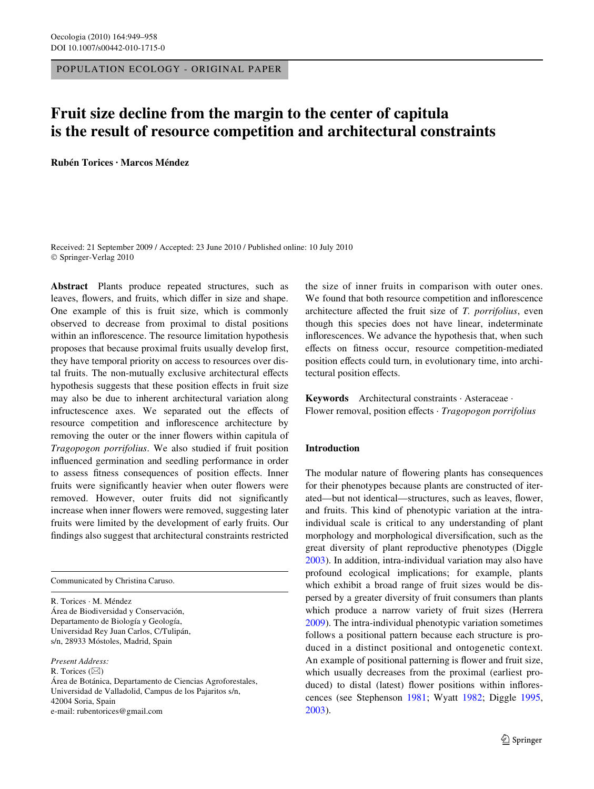POPULATION ECOLOGY - ORIGINAL PAPER

# **Fruit size decline from the margin to the center of capitula is the result of resource competition and architectural constraints**

**Rubén Torices · Marcos Méndez** 

Received: 21 September 2009 / Accepted: 23 June 2010 / Published online: 10 July 2010 © Springer-Verlag 2010

**Abstract** Plants produce repeated structures, such as leaves, flowers, and fruits, which differ in size and shape. One example of this is fruit size, which is commonly observed to decrease from proximal to distal positions within an inflorescence. The resource limitation hypothesis proposes that because proximal fruits usually develop first, they have temporal priority on access to resources over distal fruits. The non-mutually exclusive architectural effects hypothesis suggests that these position effects in fruit size may also be due to inherent architectural variation along infructescence axes. We separated out the effects of resource competition and inflorescence architecture by removing the outer or the inner flowers within capitula of *Tragopogon porrifolius*. We also studied if fruit position influenced germination and seedling performance in order to assess fitness consequences of position effects. Inner fruits were significantly heavier when outer flowers were removed. However, outer fruits did not significantly increase when inner flowers were removed, suggesting later fruits were limited by the development of early fruits. Our findings also suggest that architectural constraints restricted

Communicated by Christina Caruso.

R. Torices · M. Méndez Área de Biodiversidad y Conservación, Departamento de Biología y Geología, Universidad Rey Juan Carlos, C/Tulipán, s/n, 28933 Móstoles, Madrid, Spain

*Present Address:*

R. Torices  $(\boxtimes)$ 

Área de Botánica, Departamento de Ciencias Agroforestales, Universidad de Valladolid, Campus de los Pajaritos s/n, 42004 Soria, Spain e-mail: rubentorices@gmail.com

the size of inner fruits in comparison with outer ones. We found that both resource competition and inflorescence architecture affected the fruit size of *T. porrifolius*, even though this species does not have linear, indeterminate inflorescences. We advance the hypothesis that, when such effects on fitness occur, resource competition-mediated position effects could turn, in evolutionary time, into architectural position effects.

**Keywords** Architectural constraints · Asteraceae · Flower removal, position effects · *Tragopogon porrifolius* 

## **Introduction**

The modular nature of flowering plants has consequences for their phenotypes because plants are constructed of iterated—but not identical—structures, such as leaves, flower, and fruits. This kind of phenotypic variation at the intraindividual scale is critical to any understanding of plant morphology and morphological diversification, such as the great diversity of plant reproductive phenotypes (Diggle [2003](#page-8-0)). In addition, intra-individual variation may also have profound ecological implications; for example, plants which exhibit a broad range of fruit sizes would be dispersed by a greater diversity of fruit consumers than plants which produce a narrow variety of fruit sizes (Herrera [2009](#page-8-1)). The intra-individual phenotypic variation sometimes follows a positional pattern because each structure is produced in a distinct positional and ontogenetic context. An example of positional patterning is flower and fruit size, which usually decreases from the proximal (earliest produced) to distal (latest) flower positions within inflorescences (see Stephenson [1981;](#page-9-0) Wyatt [1982](#page-9-1); Diggle [1995,](#page-8-2) [2003](#page-8-0)).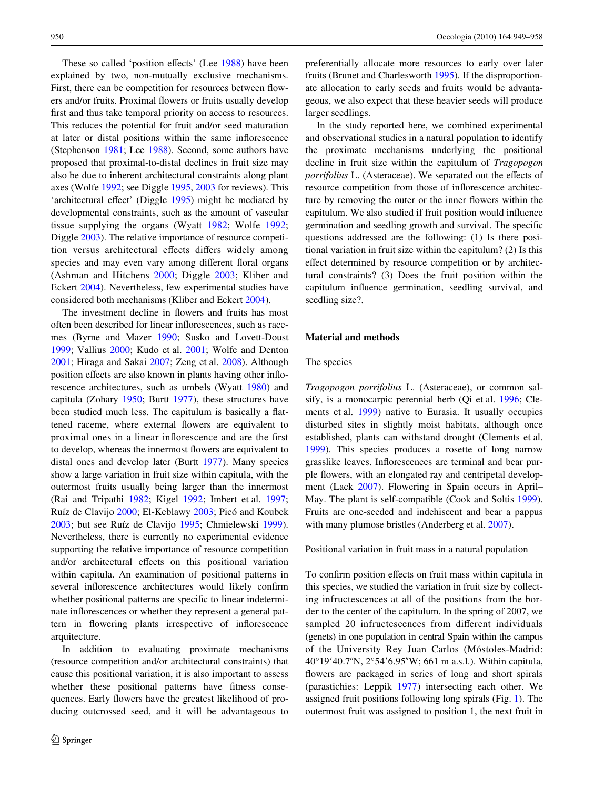These so called 'position effects' (Lee [1988](#page-8-3)) have been explained by two, non-mutually exclusive mechanisms. First, there can be competition for resources between flowers and/or fruits. Proximal flowers or fruits usually develop first and thus take temporal priority on access to resources. This reduces the potential for fruit and/or seed maturation at later or distal positions within the same inflorescence (Stephenson [1981;](#page-9-0) Lee [1988](#page-8-3)). Second, some authors have proposed that proximal-to-distal declines in fruit size may also be due to inherent architectural constraints along plant axes (Wolfe [1992;](#page-9-2) see Diggle [1995](#page-8-2), [2003](#page-8-0) for reviews). This 'architectural effect' (Diggle [1995](#page-8-2)) might be mediated by developmental constraints, such as the amount of vascular tissue supplying the organs (Wyatt [1982;](#page-9-1) Wolfe [1992](#page-9-2); Diggle [2003\)](#page-8-0). The relative importance of resource competition versus architectural effects differs widely among species and may even vary among different floral organs (Ashman and Hitchens [2000](#page-8-4); Diggle [2003;](#page-8-0) Kliber and Eckert [2004\)](#page-8-5). Nevertheless, few experimental studies have considered both mechanisms (Kliber and Eckert [2004\)](#page-8-5).

The investment decline in flowers and fruits has most often been described for linear inflorescences, such as racemes (Byrne and Mazer [1990](#page-8-6); Susko and Lovett-Doust [1999](#page-9-3); Vallius [2000](#page-9-4); Kudo et al. [2001](#page-8-7); Wolfe and Denton [2001](#page-9-5); Hiraga and Sakai [2007](#page-8-8); Zeng et al. [2008](#page-9-6)). Although position effects are also known in plants having other inflorescence architectures, such as umbels (Wyatt [1980](#page-9-7)) and capitula (Zohary [1950;](#page-9-8) Burtt [1977\)](#page-8-9), these structures have been studied much less. The capitulum is basically a flattened raceme, where external flowers are equivalent to proximal ones in a linear inflorescence and are the first to develop, whereas the innermost flowers are equivalent to distal ones and develop later (Burtt [1977](#page-8-9)). Many species show a large variation in fruit size within capitula, with the outermost fruits usually being larger than the innermost (Rai and Tripathi [1982](#page-9-9); Kigel [1992](#page-8-10); Imbert et al. [1997](#page-8-11); Ruíz de Clavijo [2000](#page-9-10); El-Keblawy [2003](#page-8-12); Picó and Koubek [2003](#page-8-13); but see Ruíz de Clavijo [1995](#page-9-11); Chmielewski [1999](#page-8-14)). Nevertheless, there is currently no experimental evidence supporting the relative importance of resource competition and/or architectural effects on this positional variation within capitula. An examination of positional patterns in several inflorescence architectures would likely confirm whether positional patterns are specific to linear indeterminate inflorescences or whether they represent a general pattern in flowering plants irrespective of inflorescence arquitecture.

In addition to evaluating proximate mechanisms (resource competition and/or architectural constraints) that cause this positional variation, it is also important to assess whether these positional patterns have fitness consequences. Early flowers have the greatest likelihood of producing outcrossed seed, and it will be advantageous to

preferentially allocate more resources to early over later fruits (Brunet and Charlesworth [1995](#page-8-15)). If the disproportionate allocation to early seeds and fruits would be advantageous, we also expect that these heavier seeds will produce larger seedlings.

In the study reported here, we combined experimental and observational studies in a natural population to identify the proximate mechanisms underlying the positional decline in fruit size within the capitulum of *Tragopogon porrifolius* L. (Asteraceae). We separated out the effects of resource competition from those of inflorescence architecture by removing the outer or the inner flowers within the capitulum. We also studied if fruit position would influence germination and seedling growth and survival. The specific questions addressed are the following: (1) Is there positional variation in fruit size within the capitulum? (2) Is this effect determined by resource competition or by architectural constraints? (3) Does the fruit position within the capitulum influence germination, seedling survival, and seedling size?.

## **Material and methods**

### The species

*Tragopogon porrifolius* L. (Asteraceae), or common salsify, is a monocarpic perennial herb (Qi et al. [1996](#page-9-12); Clements et al. [1999\)](#page-8-16) native to Eurasia. It usually occupies disturbed sites in slightly moist habitats, although once established, plants can withstand drought (Clements et al. [1999](#page-8-16)). This species produces a rosette of long narrow grasslike leaves. Inflorescences are terminal and bear purple flowers, with an elongated ray and centripetal development (Lack [2007\)](#page-8-17). Flowering in Spain occurs in April– May. The plant is self-compatible (Cook and Soltis [1999](#page-8-18)). Fruits are one-seeded and indehiscent and bear a pappus with many plumose bristles (Anderberg et al. [2007](#page-8-19)).

Positional variation in fruit mass in a natural population

To confirm position effects on fruit mass within capitula in this species, we studied the variation in fruit size by collecting infructescences at all of the positions from the border to the center of the capitulum. In the spring of 2007, we sampled 20 infructescences from different individuals (genets) in one population in central Spain within the campus of the University Rey Juan Carlos (Móstoles-Madrid: 40°19′40.7″N, 2°54′6.95″W; 661 m a.s.l.). Within capitula, flowers are packaged in series of long and short spirals (parastichies: Leppik [1977](#page-8-20)) intersecting each other. We assigned fruit positions following long spirals (Fig. [1](#page-2-0)). The outermost fruit was assigned to position 1, the next fruit in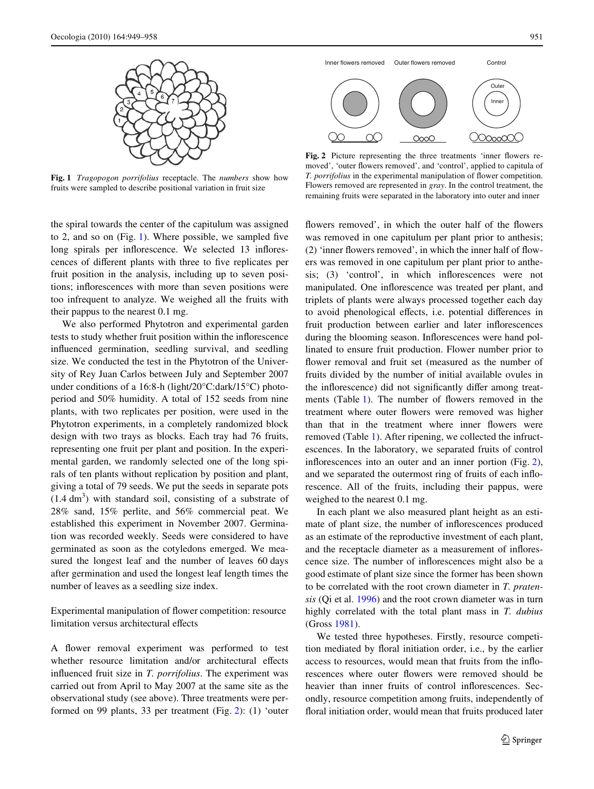

<span id="page-2-0"></span>**Fig. 1** *Tragopogon porrifolius* receptacle. The *numbers* show how fruits were sampled to describe positional variation in fruit size

the spiral towards the center of the capitulum was assigned to 2, and so on  $(Fig. 1)$  $(Fig. 1)$ . Where possible, we sampled five long spirals per inflorescence. We selected 13 inflorescences of different plants with three to five replicates per fruit position in the analysis, including up to seven positions; inflorescences with more than seven positions were too infrequent to analyze. We weighed all the fruits with their pappus to the nearest 0.1 mg.

We also performed Phytotron and experimental garden tests to study whether fruit position within the inflorescence influenced germination, seedling survival, and seedling size. We conducted the test in the Phytotron of the University of Rey Juan Carlos between July and September 2007 under conditions of a 16:8-h (light/20°C:dark/15°C) photoperiod and 50% humidity. A total of 152 seeds from nine plants, with two replicates per position, were used in the Phytotron experiments, in a completely randomized block design with two trays as blocks. Each tray had 76 fruits, representing one fruit per plant and position. In the experimental garden, we randomly selected one of the long spirals of ten plants without replication by position and plant, giving a total of 79 seeds. We put the seeds in separate pots  $(1.4 \text{ dm}^3)$  with standard soil, consisting of a substrate of 28% sand, 15% perlite, and 56% commercial peat. We established this experiment in November 2007. Germination was recorded weekly. Seeds were considered to have germinated as soon as the cotyledons emerged. We measured the longest leaf and the number of leaves 60 days after germination and used the longest leaf length times the number of leaves as a seedling size index.

Experimental manipulation of flower competition: resource limitation versus architectural effects

A flower removal experiment was performed to test whether resource limitation and/or architectural effects influenced fruit size in *T. porrifolius*. The experiment was carried out from April to May 2007 at the same site as the observational study (see above). Three treatments were performed on 99 plants, 33 per treatment (Fig. [2\)](#page-2-1): (1) 'outer



<span id="page-2-1"></span>Fig. 2 Picture representing the three treatments 'inner flowers removed', 'outer flowers removed', and 'control', applied to capitula of *T. porrifolius* in the experimental manipulation of flower competition. Flowers removed are represented in *gray*. In the control treatment, the remaining fruits were separated in the laboratory into outer and inner

flowers removed', in which the outer half of the flowers was removed in one capitulum per plant prior to anthesis;  $(2)$  'inner flowers removed', in which the inner half of flowers was removed in one capitulum per plant prior to anthesis;  $(3)$  'control', in which inflorescences were not manipulated. One inflorescence was treated per plant, and triplets of plants were always processed together each day to avoid phenological effects, i.e. potential differences in fruit production between earlier and later inflorescences during the blooming season. Inflorescences were hand pollinated to ensure fruit production. Flower number prior to flower removal and fruit set (measured as the number of fruits divided by the number of initial available ovules in the inflorescence) did not significantly differ among treat-ments (Table [1](#page-3-0)). The number of flowers removed in the treatment where outer flowers were removed was higher than that in the treatment where inner flowers were removed (Table [1](#page-3-0)). After ripening, we collected the infructescences. In the laboratory, we separated fruits of control inflorescences into an outer and an inner portion (Fig. [2](#page-2-1)), and we separated the outermost ring of fruits of each inflorescence. All of the fruits, including their pappus, were weighed to the nearest 0.1 mg.

In each plant we also measured plant height as an estimate of plant size, the number of inflorescences produced as an estimate of the reproductive investment of each plant, and the receptacle diameter as a measurement of inflorescence size. The number of inflorescences might also be a good estimate of plant size since the former has been shown to be correlated with the root crown diameter in *T. pratensis* (Qi et al. [1996\)](#page-9-12) and the root crown diameter was in turn highly correlated with the total plant mass in *T. dubius* (Gross [1981](#page-8-21)).

We tested three hypotheses. Firstly, resource competition mediated by floral initiation order, i.e., by the earlier access to resources, would mean that fruits from the inflorescences where outer flowers were removed should be heavier than inner fruits of control inflorescences. Secondly, resource competition among fruits, independently of floral initiation order, would mean that fruits produced later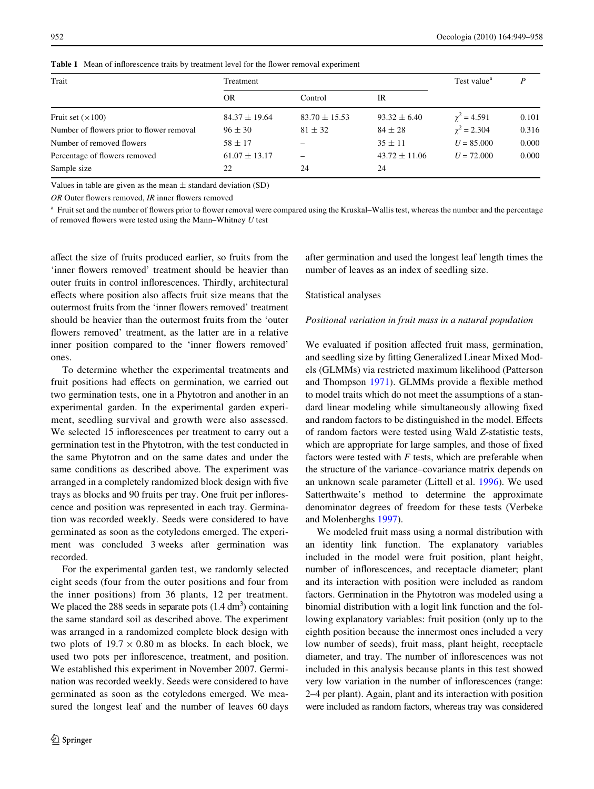| Trait                                     | Treatment         | Test value <sup>a</sup> | P                 |                    |       |
|-------------------------------------------|-------------------|-------------------------|-------------------|--------------------|-------|
|                                           | <b>OR</b>         | Control                 | IR                |                    |       |
| Fruit set $(\times 100)$                  | $84.37 \pm 19.64$ | $83.70 \pm 15.53$       | $93.32 \pm 6.40$  | $\gamma^2$ = 4.591 | 0.101 |
| Number of flowers prior to flower removal | $96 \pm 30$       | $81 \pm 32$             | $84 \pm 28$       | $\gamma^2 = 2.304$ | 0.316 |
| Number of removed flowers                 | $58 \pm 17$       | -                       | $35 \pm 11$       | $U = 85,000$       | 0.000 |
| Percentage of flowers removed             | $61.07 \pm 13.17$ | -                       | $43.72 \pm 11.06$ | $U = 72,000$       | 0.000 |
| Sample size                               | 22                | 24                      | 24                |                    |       |

<span id="page-3-0"></span>**Table 1** Mean of inflorescence traits by treatment level for the flower removal experiment

Values in table are given as the mean  $\pm$  standard deviation (SD)

*OR* Outer flowers removed, *IR* inner flowers removed

<sup>a</sup> Fruit set and the number of flowers prior to flower removal were compared using the Kruskal–Wallis test, whereas the number and the percentage of removed flowers were tested using the Mann–Whitney *U* test

affect the size of fruits produced earlier, so fruits from the 'inner flowers removed' treatment should be heavier than outer fruits in control inflorescences. Thirdly, architectural effects where position also affects fruit size means that the outermost fruits from the 'inner flowers removed' treatment should be heavier than the outermost fruits from the 'outer flowers removed' treatment, as the latter are in a relative inner position compared to the 'inner flowers removed' ones.

To determine whether the experimental treatments and fruit positions had effects on germination, we carried out two germination tests, one in a Phytotron and another in an experimental garden. In the experimental garden experiment, seedling survival and growth were also assessed. We selected 15 inflorescences per treatment to carry out a germination test in the Phytotron, with the test conducted in the same Phytotron and on the same dates and under the same conditions as described above. The experiment was arranged in a completely randomized block design with five trays as blocks and 90 fruits per tray. One fruit per inflorescence and position was represented in each tray. Germination was recorded weekly. Seeds were considered to have germinated as soon as the cotyledons emerged. The experiment was concluded 3 weeks after germination was recorded.

For the experimental garden test, we randomly selected eight seeds (four from the outer positions and four from the inner positions) from 36 plants, 12 per treatment. We placed the  $288$  seeds in separate pots  $(1.4 \text{ dm}^3)$  containing the same standard soil as described above. The experiment was arranged in a randomized complete block design with two plots of  $19.7 \times 0.80$  m as blocks. In each block, we used two pots per inflorescence, treatment, and position. We established this experiment in November 2007. Germination was recorded weekly. Seeds were considered to have germinated as soon as the cotyledons emerged. We measured the longest leaf and the number of leaves 60 days after germination and used the longest leaf length times the number of leaves as an index of seedling size.

### Statistical analyses

### *Positional variation in fruit mass in a natural population*

We evaluated if position affected fruit mass, germination, and seedling size by fitting Generalized Linear Mixed Models (GLMMs) via restricted maximum likelihood (Patterson and Thompson [1971\)](#page-8-22). GLMMs provide a flexible method to model traits which do not meet the assumptions of a standard linear modeling while simultaneously allowing fixed and random factors to be distinguished in the model. Effects of random factors were tested using Wald *Z*-statistic tests, which are appropriate for large samples, and those of fixed factors were tested with *F* tests, which are preferable when the structure of the variance–covariance matrix depends on an unknown scale parameter (Littell et al. [1996\)](#page-8-23). We used Satterthwaite's method to determine the approximate denominator degrees of freedom for these tests (Verbeke and Molenberghs [1997](#page-9-13)).

We modeled fruit mass using a normal distribution with an identity link function. The explanatory variables included in the model were fruit position, plant height, number of inflorescences, and receptacle diameter; plant and its interaction with position were included as random factors. Germination in the Phytotron was modeled using a binomial distribution with a logit link function and the following explanatory variables: fruit position (only up to the eighth position because the innermost ones included a very low number of seeds), fruit mass, plant height, receptacle diameter, and tray. The number of inflorescences was not included in this analysis because plants in this test showed very low variation in the number of inflorescences (range: 2–4 per plant). Again, plant and its interaction with position were included as random factors, whereas tray was considered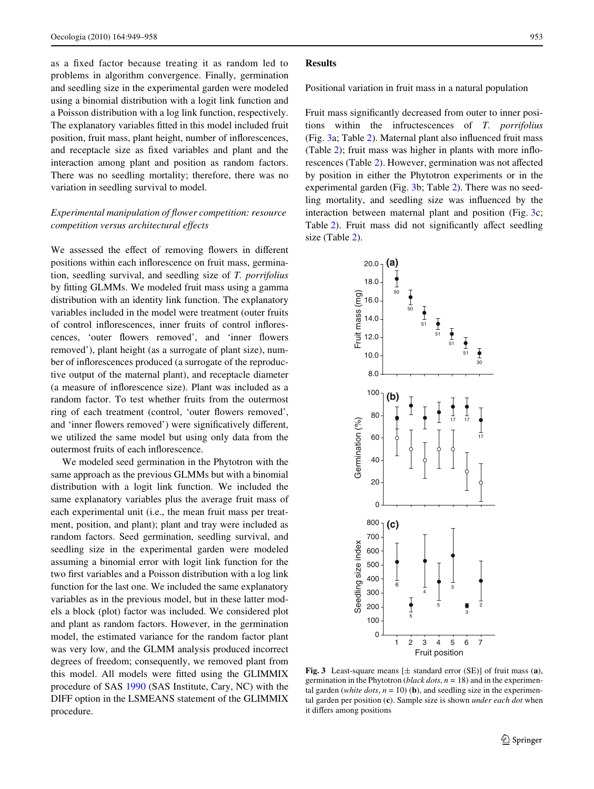as a fixed factor because treating it as random led to problems in algorithm convergence. Finally, germination and seedling size in the experimental garden were modeled using a binomial distribution with a logit link function and a Poisson distribution with a log link function, respectively. The explanatory variables fitted in this model included fruit position, fruit mass, plant height, number of inflorescences, and receptacle size as fixed variables and plant and the interaction among plant and position as random factors. There was no seedling mortality; therefore, there was no variation in seedling survival to model.

# *Experimental manipulation of flower competition: resource competition versus architectural effects*

We assessed the effect of removing flowers in different positions within each inflorescence on fruit mass, germination, seedling survival, and seedling size of *T. porrifolius* by fitting GLMMs. We modeled fruit mass using a gamma distribution with an identity link function. The explanatory variables included in the model were treatment (outer fruits of control inflorescences, inner fruits of control inflorescences, 'outer flowers removed', and 'inner flowers removed'), plant height (as a surrogate of plant size), number of inflorescences produced (a surrogate of the reproductive output of the maternal plant), and receptacle diameter (a measure of inflorescence size). Plant was included as a random factor. To test whether fruits from the outermost ring of each treatment (control, 'outer flowers removed', and 'inner flowers removed') were significatively different, we utilized the same model but using only data from the outermost fruits of each inflorescence.

We modeled seed germination in the Phytotron with the same approach as the previous GLMMs but with a binomial distribution with a logit link function. We included the same explanatory variables plus the average fruit mass of each experimental unit (i.e., the mean fruit mass per treatment, position, and plant); plant and tray were included as random factors. Seed germination, seedling survival, and seedling size in the experimental garden were modeled assuming a binomial error with logit link function for the two first variables and a Poisson distribution with a log link function for the last one. We included the same explanatory variables as in the previous model, but in these latter models a block (plot) factor was included. We considered plot and plant as random factors. However, in the germination model, the estimated variance for the random factor plant was very low, and the GLMM analysis produced incorrect degrees of freedom; consequently, we removed plant from this model. All models were fitted using the GLIMMIX procedure of SAS [1990](#page-9-14) (SAS Institute, Cary, NC) with the DIFF option in the LSMEANS statement of the GLIMMIX procedure.

### **Results**

Positional variation in fruit mass in a natural population

Fruit mass significantly decreased from outer to inner positions within the infructescences of *T. porrifolius* (Fig.  $3a$ ; Table [2\)](#page-5-0). Maternal plant also influenced fruit mass (Table  $2$ ); fruit mass was higher in plants with more inflo-rescences (Table [2](#page-5-0)). However, germination was not affected by position in either the Phytotron experiments or in the experimental garden (Fig. [3](#page-4-0)b; Table [2](#page-5-0)). There was no seedling mortality, and seedling size was influenced by the interaction between maternal plant and position (Fig. [3](#page-4-0)c; Table [2](#page-5-0)). Fruit mass did not significantly affect seedling size (Table [2\)](#page-5-0).



<span id="page-4-0"></span>**Fig. 3** Least-square means  $[\pm$  standard error (SE)] of fruit mass (a), germination in the Phytotron (*black dots*, *n* = 18) and in the experimental garden (*white dots*,  $n = 10$ ) (**b**), and seedling size in the experimental garden per position (**c**). Sample size is shown *under each dot* when it differs among positions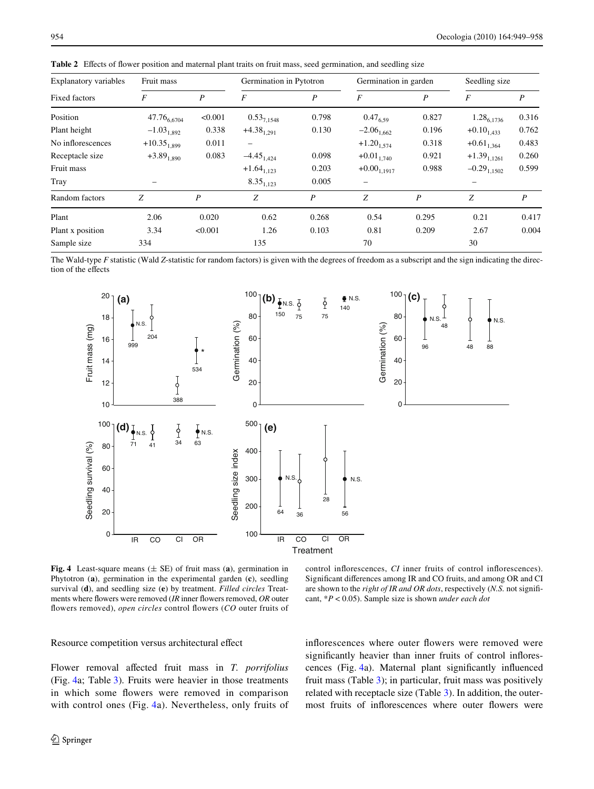| <b>Explanatory variables</b> | Fruit mass       |                  | Germination in Pytotron |       | Germination in garden |       | Seedling size    |       |
|------------------------------|------------------|------------------|-------------------------|-------|-----------------------|-------|------------------|-------|
| Fixed factors                | F                | $\boldsymbol{P}$ | F                       | P     | F                     | P     | F                | P     |
| Position                     | $47.76_{6,6704}$ | < 0.001          | $0.53_{7,1548}$         | 0.798 | $0.47_{6,59}$         | 0.827 | $1.28_{6,1736}$  | 0.316 |
| Plant height                 | $-1.03_{1,892}$  | 0.338            | $+4.38_{1,291}$         | 0.130 | $-2.06_{1,662}$       | 0.196 | $+0.10_{1.433}$  | 0.762 |
| No inflorescences            | $+10.35_{1.899}$ | 0.011            | -                       |       | $+1.20_{1,574}$       | 0.318 | $+0.61_{1,364}$  | 0.483 |
| Receptacle size              | $+3.89_{1,890}$  | 0.083            | $-4.45_{1,424}$         | 0.098 | $+0.01_{1,740}$       | 0.921 | $+1.39_{1,1261}$ | 0.260 |
| Fruit mass                   |                  |                  | $+1.64_{1,123}$         | 0.203 | $+0.00_{1,1917}$      | 0.988 | $-0.29_{1,1502}$ | 0.599 |
| Tray                         |                  |                  | $8.35_{1,123}$          | 0.005 |                       |       |                  |       |
| Random factors               | Z                | $\boldsymbol{P}$ | Z                       | P     | Z                     | P     | Z                | P     |
| Plant                        | 2.06             | 0.020            | 0.62                    | 0.268 | 0.54                  | 0.295 | 0.21             | 0.417 |
| Plant x position             | 3.34             | < 0.001          | 1.26                    | 0.103 | 0.81                  | 0.209 | 2.67             | 0.004 |
| Sample size                  | 334              |                  | 135                     |       | 70                    |       | 30               |       |

<span id="page-5-0"></span>**Table 2** Effects of flower position and maternal plant traits on fruit mass, seed germination, and seedling size

The Wald-type *F* statistic (Wald *Z*-statistic for random factors) is given with the degrees of freedom as a subscript and the sign indicating the direction of the effects



<span id="page-5-1"></span>**Fig. 4** Least-square means  $(\pm \text{ SE})$  of fruit mass (a), germination in Phytotron (**a**), germination in the experimental garden (**c**), seedling survival (**d**), and seedling size (**e**) by treatment. *Filled circles* Treatments where flowers were removed (*IR* inner flowers removed, *OR* outer flowers removed), open circles control flowers (CO outer fruits of

control inflorescences, *CI* inner fruits of control inflorescences). Significant differences among IR and CO fruits, and among OR and CI are shown to the *right of IR and OR dots*, respectively (*N.S.* not significant, \**P* < 0.05). Sample size is shown *under each dot*

Resource competition versus architectural effect

Flower removal affected fruit mass in *T. porrifolius* (Fig. [4a](#page-5-1); Table [3\)](#page-6-0). Fruits were heavier in those treatments in which some flowers were removed in comparison with control ones (Fig. [4](#page-5-1)a). Nevertheless, only fruits of inflorescences where outer flowers were removed were significantly heavier than inner fruits of control inflores-cences (Fig. [4a](#page-5-1)). Maternal plant significantly influenced fruit mass (Table [3](#page-6-0)); in particular, fruit mass was positively related with receptacle size (Table [3\)](#page-6-0). In addition, the outermost fruits of inflorescences where outer flowers were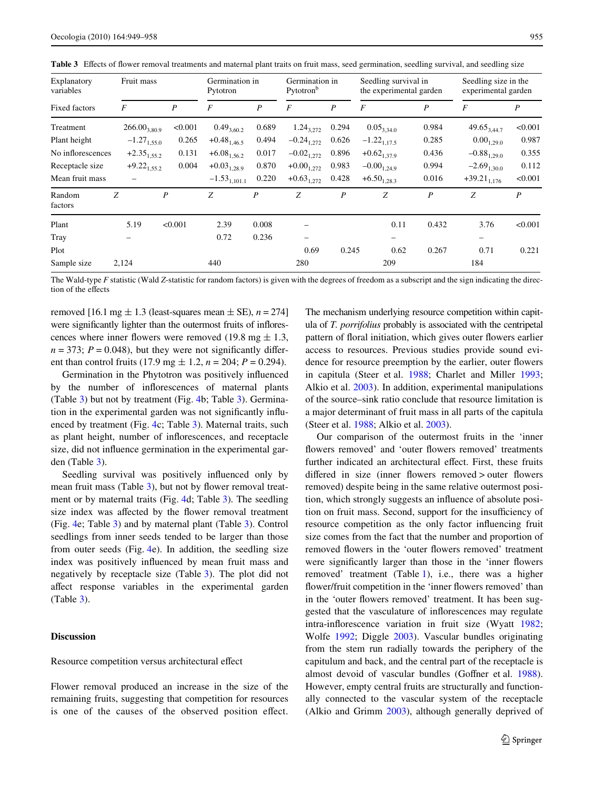| Explanatory<br>variables | Fruit mass        |                  | Germination in<br>Pytotron |                  | Germination in<br>Pytotron <sup>b</sup> |                  | Seedling survival in<br>the experimental garden |                  | Seedling size in the<br>experimental garden |                  |
|--------------------------|-------------------|------------------|----------------------------|------------------|-----------------------------------------|------------------|-------------------------------------------------|------------------|---------------------------------------------|------------------|
| Fixed factors            | $\boldsymbol{F}$  | $\boldsymbol{P}$ | $\cal F$                   | P                | $\boldsymbol{F}$                        | P                | $\boldsymbol{F}$                                | P                | F                                           | $\boldsymbol{P}$ |
| Treatment                | $266.00_{3,80.9}$ | < 0.001          | $0.49_{3,60.2}$            | 0.689            | $1.24_{3,272}$                          | 0.294            | $0.05_{3,34.0}$                                 | 0.984            | $49.65_{3.44.7}$                            | < 0.001          |
| Plant height             | $-1.27_{1.55,0}$  | 0.265            | $+0.48_{1,46.5}$           | 0.494            | $-0.24_{1.272}$                         | 0.626            | $-1.22_{1.17.5}$                                | 0.285            | $0.00_{1.29.0}$                             | 0.987            |
| No inflorescences        | $+2.35_{1,55.2}$  | 0.131            | $+6.08_{1,56.2}$           | 0.017            | $-0.02_{1,272}$                         | 0.896            | $+0.62_{1,37.9}$                                | 0.436            | $-0.88_{1,29.0}$                            | 0.355            |
| Receptacle size          | $+9.22_{1,55.2}$  | 0.004            | $+0.03_{1,28.9}$           | 0.870            | $+0.00_{1,272}$                         | 0.983            | $-0.00_{1,24,9}$                                | 0.994            | $-2.69_{1,30,0}$                            | 0.112            |
| Mean fruit mass          |                   |                  | $-1.53$ <sub>1,101.1</sub> | 0.220            | $+0.63_{1,272}$                         | 0.428            | $+6.50_{1,28.3}$                                | 0.016            | $+39.21_{1,176}$                            | < 0.001          |
| Random<br>factors        | Z                 | $\boldsymbol{P}$ | Z                          | $\boldsymbol{P}$ | Z                                       | $\boldsymbol{P}$ | Z                                               | $\boldsymbol{P}$ | Z                                           | $\boldsymbol{P}$ |
| Plant                    | 5.19              | < 0.001          | 2.39                       | 0.008            |                                         |                  | 0.11                                            | 0.432            | 3.76                                        | < 0.001          |
| Tray                     |                   |                  | 0.72                       | 0.236            |                                         |                  | -                                               |                  | $\qquad \qquad -$                           |                  |
| Plot                     |                   |                  |                            |                  | 0.69                                    | 0.245            | 0.62                                            | 0.267            | 0.71                                        | 0.221            |
| Sample size              | 2,124             |                  | 440                        |                  | 280                                     |                  | 209                                             |                  | 184                                         |                  |

<span id="page-6-0"></span>Table 3 Effects of flower removal treatments and maternal plant traits on fruit mass, seed germination, seedling survival, and seedling size

The Wald-type F statistic (Wald Z-statistic for random factors) is given with the degrees of freedom as a subscript and the sign indicating the direction of the effects

removed [16.1 mg  $\pm$  1.3 (least-squares mean  $\pm$  SE), *n* = 274] were significantly lighter than the outermost fruits of inflorescences where inner flowers were removed (19.8 mg  $\pm$  1.3,  $n = 373$ ;  $P = 0.048$ ), but they were not significantly different than control fruits (17.9 mg  $\pm$  1.2, *n* = 204; *P* = 0.294).

Germination in the Phytotron was positively influenced by the number of inflorescences of maternal plants (Table [3\)](#page-6-0) but not by treatment (Fig. [4](#page-5-1)b; Table [3](#page-6-0)). Germination in the experimental garden was not significantly influenced by treatment (Fig. [4](#page-5-1)c; Table [3\)](#page-6-0). Maternal traits, such as plant height, number of inflorescences, and receptacle size, did not influence germination in the experimental garden (Table [3\)](#page-6-0).

Seedling survival was positively influenced only by mean fruit mass (Table [3\)](#page-6-0), but not by flower removal treatment or by maternal traits (Fig. [4d](#page-5-1); Table [3](#page-6-0)). The seedling size index was affected by the flower removal treatment (Fig. [4e](#page-5-1); Table [3](#page-6-0)) and by maternal plant (Table [3\)](#page-6-0). Control seedlings from inner seeds tended to be larger than those from outer seeds (Fig. [4](#page-5-1)e). In addition, the seedling size index was positively influenced by mean fruit mass and negatively by receptacle size (Table [3\)](#page-6-0). The plot did not affect response variables in the experimental garden (Table [3\)](#page-6-0).

# **Discussion**

### Resource competition versus architectural effect

Flower removal produced an increase in the size of the remaining fruits, suggesting that competition for resources is one of the causes of the observed position effect.

The mechanism underlying resource competition within capitula of *T. porrifolius* probably is associated with the centripetal pattern of floral initiation, which gives outer flowers earlier access to resources. Previous studies provide sound evidence for resource preemption by the earlier, outer flowers in capitula (Steer et al. [1988](#page-9-15); Charlet and Miller [1993;](#page-8-24) Alkio et al. [2003](#page-8-25)). In addition, experimental manipulations of the source–sink ratio conclude that resource limitation is a major determinant of fruit mass in all parts of the capitula (Steer et al. [1988](#page-9-15); Alkio et al. [2003\)](#page-8-25).

Our comparison of the outermost fruits in the 'inner flowers removed' and 'outer flowers removed' treatments further indicated an architectural effect. First, these fruits differed in size (inner flowers removed  $>$  outer flowers removed) despite being in the same relative outermost position, which strongly suggests an influence of absolute position on fruit mass. Second, support for the insufficiency of resource competition as the only factor influencing fruit size comes from the fact that the number and proportion of removed flowers in the 'outer flowers removed' treatment were significantly larger than those in the 'inner flowers' removed' treatment (Table [1\)](#page-3-0), i.e., there was a higher flower/fruit competition in the 'inner flowers removed' than in the 'outer flowers removed' treatment. It has been suggested that the vasculature of inflorescences may regulate intra-inflorescence variation in fruit size (Wyatt [1982;](#page-9-1) Wolfe [1992;](#page-9-2) Diggle [2003](#page-8-0)). Vascular bundles originating from the stem run radially towards the periphery of the capitulum and back, and the central part of the receptacle is almost devoid of vascular bundles (Goffner et al. [1988](#page-8-26)). However, empty central fruits are structurally and functionally connected to the vascular system of the receptacle (Alkio and Grimm [2003](#page-8-27)), although generally deprived of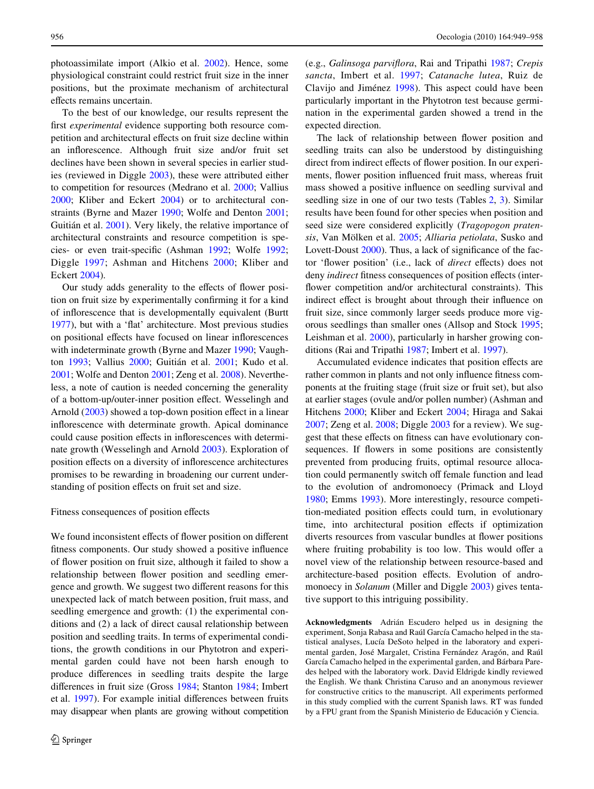photoassimilate import (Alkio et al. [2002\)](#page-8-28). Hence, some physiological constraint could restrict fruit size in the inner positions, but the proximate mechanism of architectural effects remains uncertain.

To the best of our knowledge, our results represent the first *experimental* evidence supporting both resource competition and architectural effects on fruit size decline within an inflorescence. Although fruit size and/or fruit set declines have been shown in several species in earlier studies (reviewed in Diggle [2003\)](#page-8-0), these were attributed either to competition for resources (Medrano et al. [2000](#page-8-29); Vallius [2000](#page-9-4); Kliber and Eckert [2004\)](#page-8-5) or to architectural constraints (Byrne and Mazer [1990](#page-8-6); Wolfe and Denton [2001](#page-9-5); Guitián et al. [2001\)](#page-8-30). Very likely, the relative importance of architectural constraints and resource competition is spe-cies- or even trait-specific (Ashman [1992;](#page-8-31) Wolfe [1992](#page-9-2); Diggle [1997](#page-8-32); Ashman and Hitchens [2000;](#page-8-4) Kliber and Eckert [2004](#page-8-5)).

Our study adds generality to the effects of flower position on fruit size by experimentally confirming it for a kind of inflorescence that is developmentally equivalent (Burtt [1977](#page-8-9)), but with a 'flat' architecture. Most previous studies on positional effects have focused on linear inflorescences with indeterminate growth (Byrne and Mazer [1990](#page-8-6); Vaughton [1993](#page-9-16); Vallius [2000](#page-9-4); Guitián et al. [2001](#page-8-30); Kudo et al. [2001](#page-8-7); Wolfe and Denton [2001;](#page-9-5) Zeng et al. [2008](#page-9-6)). Nevertheless, a note of caution is needed concerning the generality of a bottom-up/outer-inner position effect. Wesselingh and Arnold ([2003\)](#page-9-17) showed a top-down position effect in a linear inflorescence with determinate growth. Apical dominance could cause position effects in inflorescences with determinate growth (Wesselingh and Arnold [2003](#page-9-17)). Exploration of position effects on a diversity of inflorescence architectures promises to be rewarding in broadening our current understanding of position effects on fruit set and size.

#### Fitness consequences of position effects

We found inconsistent effects of flower position on different fitness components. Our study showed a positive influence of flower position on fruit size, although it failed to show a relationship between flower position and seedling emergence and growth. We suggest two different reasons for this unexpected lack of match between position, fruit mass, and seedling emergence and growth: (1) the experimental conditions and (2) a lack of direct causal relationship between position and seedling traits. In terms of experimental conditions, the growth conditions in our Phytotron and experimental garden could have not been harsh enough to produce differences in seedling traits despite the large differences in fruit size (Gross [1984](#page-8-33); Stanton [1984;](#page-9-18) Imbert et al. [1997\)](#page-8-11). For example initial differences between fruits may disappear when plants are growing without competition (e.g., *Galinsoga parviXora*, Rai and Tripathi [1987;](#page-9-19) *Crepis sancta*, Imbert et al. [1997](#page-8-11); *Catanache lutea*, Ruiz de Clavijo and Jiménez [1998\)](#page-9-20). This aspect could have been particularly important in the Phytotron test because germination in the experimental garden showed a trend in the expected direction.

The lack of relationship between flower position and seedling traits can also be understood by distinguishing direct from indirect effects of flower position. In our experiments, flower position influenced fruit mass, whereas fruit mass showed a positive influence on seedling survival and seedling size in one of our two tests (Tables [2,](#page-5-0) [3\)](#page-6-0). Similar results have been found for other species when position and seed size were considered explicitly (*Tragopogon pratensis*, Van Mölken et al. [2005;](#page-9-21) *Alliaria petiolata*, Susko and Lovett-Doust  $2000$ ). Thus, a lack of significance of the factor 'flower position' (i.e., lack of *direct* effects) does not deny *indirect* fitness consequences of position effects (interflower competition and/or architectural constraints). This indirect effect is brought about through their influence on fruit size, since commonly larger seeds produce more vigorous seedlings than smaller ones (Allsop and Stock [1995;](#page-8-34) Leishman et al. [2000](#page-8-35)), particularly in harsher growing conditions (Rai and Tripathi [1987](#page-9-19); Imbert et al. [1997\)](#page-8-11).

Accumulated evidence indicates that position effects are rather common in plants and not only influence fitness components at the fruiting stage (fruit size or fruit set), but also at earlier stages (ovule and/or pollen number) (Ashman and Hitchens [2000](#page-8-4); Kliber and Eckert [2004;](#page-8-5) Hiraga and Sakai [2007](#page-8-8); Zeng et al. [2008](#page-9-6); Diggle [2003](#page-8-0) for a review). We suggest that these effects on fitness can have evolutionary consequences. If flowers in some positions are consistently prevented from producing fruits, optimal resource allocation could permanently switch off female function and lead to the evolution of andromonoecy (Primack and Lloyd [1980](#page-8-36); Emms [1993](#page-8-37)). More interestingly, resource competition-mediated position effects could turn, in evolutionary time, into architectural position effects if optimization diverts resources from vascular bundles at flower positions where fruiting probability is too low. This would offer a novel view of the relationship between resource-based and architecture-based position effects. Evolution of andromonoecy in *Solanum* (Miller and Diggle [2003\)](#page-8-38) gives tentative support to this intriguing possibility.

**Acknowledgments** Adrián Escudero helped us in designing the experiment, Sonja Rabasa and Raúl García Camacho helped in the statistical analyses, Lucía DeSoto helped in the laboratory and experimental garden, José Margalet, Cristina Fernández Aragón, and Raúl García Camacho helped in the experimental garden, and Bárbara Paredes helped with the laboratory work. David Eldrigde kindly reviewed the English. We thank Christina Caruso and an anonymous reviewer for constructive critics to the manuscript. All experiments performed in this study complied with the current Spanish laws. RT was funded by a FPU grant from the Spanish Ministerio de Educación y Ciencia.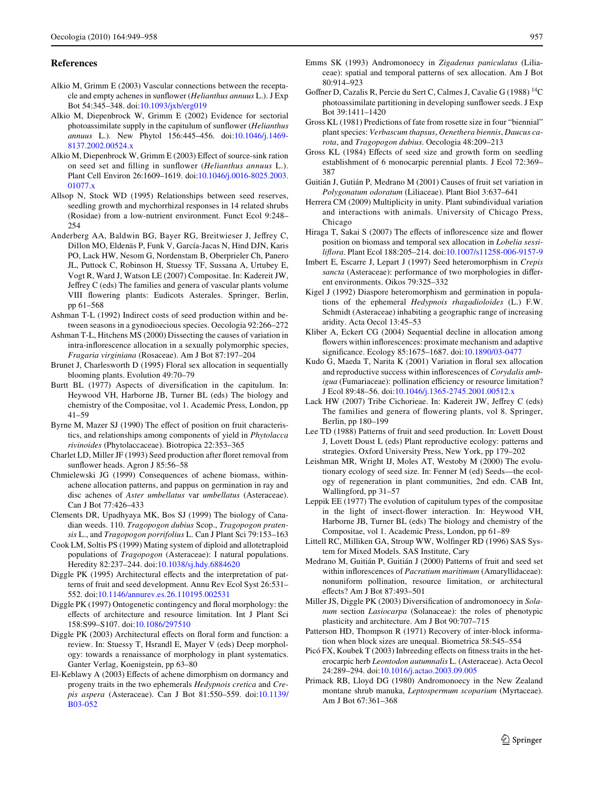### **References**

- <span id="page-8-27"></span>Alkio M, Grimm E (2003) Vascular connections between the receptacle and empty achenes in sunflower (*Helianthus annuus* L.). J Exp Bot 54:345–348. doi:[10.1093/jxb/erg019](http://dx.doi.org/10.1093/jxb/erg019)
- <span id="page-8-28"></span>Alkio M, Diepenbrock W, Grimm E (2002) Evidence for sectorial photoassimilate supply in the capitulum of sunflower (*Helianthus annuus* L.). New Phytol 156:445–456. doi:[10.1046/j.1469-](http://dx.doi.org/10.1046/j.1469-8137.2002.00524.x) [8137.2002.00524.x](http://dx.doi.org/10.1046/j.1469-8137.2002.00524.x)
- <span id="page-8-25"></span>Alkio M, Diepenbrock W, Grimm E (2003) Effect of source-sink ration on seed set and filling in sunflower *(Helianthus annuus* L.). Plant Cell Environ 26:1609–1619. doi:[10.1046/j.0016-8025.2003.](http://dx.doi.org/10.1046/j.0016-8025.2003.01077.x) [01077.x](http://dx.doi.org/10.1046/j.0016-8025.2003.01077.x)
- <span id="page-8-34"></span>Allsop N, Stock WD (1995) Relationships between seed reserves, seedling growth and mychorrhizal responses in 14 related shrubs (Rosidae) from a low-nutrient environment. Funct Ecol 9:248– 254
- <span id="page-8-19"></span>Anderberg AA, Baldwin BG, Bayer RG, Breitwieser J, Jeffrey C, Dillon MO, Eldenäs P, Funk V, García-Jacas N, Hind DJN, Karis PO, Lack HW, Nesom G, Nordenstam B, Oberprieler Ch, Panero JL, Puttock C, Robinson H, Stuessy TF, Sussana A, Urtubey E, Vogt R, Ward J, Watson LE (2007) Compositae. In: Kadereit JW, Jeffrey C (eds) The families and genera of vascular plants volume VIII flowering plants: Eudicots Asterales. Springer, Berlin, pp 61–568
- <span id="page-8-31"></span>Ashman T-L (1992) Indirect costs of seed production within and between seasons in a gynodioecious species. Oecologia 92:266–272
- <span id="page-8-4"></span>Ashman T-L, Hitchens MS (2000) Dissecting the causes of variation in intra-inflorescence allocation in a sexually polymorphic species, *Fragaria virginiana* (Rosaceae). Am J Bot 87:197–204
- <span id="page-8-15"></span>Brunet J, Charlesworth D (1995) Floral sex allocation in sequentially blooming plants. Evolution 49:70–79
- <span id="page-8-9"></span>Burtt BL (1977) Aspects of diversification in the capitulum. In: Heywood VH, Harborne JB, Turner BL (eds) The biology and chemistry of the Compositae, vol 1. Academic Press, London, pp 41–59
- <span id="page-8-6"></span>Byrne M, Mazer SJ (1990) The effect of position on fruit characteristics, and relationships among components of yield in *Phytolacca rivinoides* (Phytolaccaceae). Biotropica 22:353–365
- <span id="page-8-24"></span>Charlet LD, Miller JF (1993) Seed production after floret removal from sunflower heads. Agron J 85:56–58
- <span id="page-8-14"></span>Chmielewski JG (1999) Consequences of achene biomass, withinachene allocation patterns, and pappus on germination in ray and disc achenes of *Aster umbellatus* var *umbellatus* (Asteraceae). Can J Bot 77:426–433
- <span id="page-8-16"></span>Clements DR, Upadhyaya MK, Bos SJ (1999) The biology of Canadian weeds. 110. *Tragopogon dubius* Scop., *Tragopogon pratensis* L., and *Tragopogon porrifolius* L. Can J Plant Sci 79:153–163
- <span id="page-8-18"></span>Cook LM, Soltis PS (1999) Mating system of diploid and allotetraploid populations of *Tragopogon* (Asteraceae): I natural populations. Heredity 82:237–244. doi:[10.1038/sj.hdy.6884620](http://dx.doi.org/10.1038/sj.hdy.6884620)
- <span id="page-8-2"></span>Diggle PK (1995) Architectural effects and the interpretation of patterns of fruit and seed development. Annu Rev Ecol Syst 26:531– 552. doi[:10.1146/annurev.es.26.110195.002531](http://dx.doi.org/10.1146/annurev.es.26.110195.002531)
- <span id="page-8-32"></span>Diggle PK (1997) Ontogenetic contingency and floral morphology: the effects of architecture and resource limitation. Int J Plant Sci 158:S99–S107. doi:[10.1086/297510](http://dx.doi.org/10.1086/297510)
- <span id="page-8-0"></span>Diggle PK (2003) Architectural effects on floral form and function: a review. In: Stuessy T, Hsrandl E, Mayer V (eds) Deep morphology: towards a renaissance of morphology in plant systematics. Ganter Verlag, Koenigstein, pp 63–80
- <span id="page-8-12"></span>El-Keblawy A (2003) Effects of achene dimorphism on dormancy and progeny traits in the two ephemerals *Hedypnois cretica* and *Crepis aspera* (Asteraceae). Can J Bot 81:550–559. doi[:10.1139/](http://dx.doi.org/10.1139/B03-052) [B03-052](http://dx.doi.org/10.1139/B03-052)
- <span id="page-8-37"></span>Emms SK (1993) Andromonoecy in *Zigadenus paniculatus* (Liliaceae): spatial and temporal patterns of sex allocation. Am J Bot 80:914–923
- <span id="page-8-26"></span>Goffner D, Cazalis R, Percie du Sert C, Calmes J, Cavalie G (1988)  $^{14}$ C photoassimilate partitioning in developing sunflower seeds. J Exp Bot 39:1411–1420
- <span id="page-8-21"></span>Gross KL (1981) Predictions of fate from rosette size in four "biennial" plant species: *Verbascum thapsus*, *Oenethera biennis*, *Daucus carota*, and *Tragopogon dubius*. Oecologia 48:209–213
- <span id="page-8-33"></span>Gross KL (1984) Effects of seed size and growth form on seedling establishment of 6 monocarpic perennial plants. J Ecol 72:369– 387
- <span id="page-8-30"></span>Guitián J, Gutián P, Medrano M (2001) Causes of fruit set variation in *Polygonatum odoratum* (Liliaceae). Plant Biol 3:637–641
- <span id="page-8-1"></span>Herrera CM (2009) Multiplicity in unity. Plant subindividual variation and interactions with animals. University of Chicago Press, Chicago
- <span id="page-8-8"></span>Hiraga T, Sakai S (2007) The effects of inflorescence size and flower position on biomass and temporal sex allocation in *Lobelia sessiliXora*. Plant Ecol 188:205–214. doi[:10.1007/s11258-006-9157-9](http://dx.doi.org/10.1007/s11258-006-9157-9)
- <span id="page-8-11"></span>Imbert E, Escarre J, Lepart J (1997) Seed heteromorphism in *Crepis* sancta (Asteraceae): performance of two morphologies in different environments. Oikos 79:325–332
- <span id="page-8-10"></span>Kigel J (1992) Diaspore heteromorphism and germination in populations of the ephemeral *Hedypnois rhagadioloides* (L.) F.W. Schmidt (Asteraceae) inhabiting a geographic range of increasing aridity. Acta Oecol 13:45–53
- <span id="page-8-5"></span>Kliber A, Eckert CG (2004) Sequential decline in allocation among flowers within inflorescences: proximate mechanism and adaptive significance. Ecology 85:1675-1687. doi:[10.1890/03-0477](http://dx.doi.org/10.1890/03-0477)
- <span id="page-8-7"></span>Kudo G, Maeda T, Narita K (2001) Variation in floral sex allocation and reproductive success within inflorescences of *Corydalis ambigua* (Fumariaceae): pollination efficiency or resource limitation? J Ecol 89:48–56. doi:[10.1046/j.1365-2745.2001.00512.x](http://dx.doi.org/10.1046/j.1365-2745.2001.00512.x)
- <span id="page-8-17"></span>Lack HW (2007) Tribe Cichorieae. In: Kadereit JW, Jeffrey C (eds) The families and genera of flowering plants, vol 8. Springer, Berlin, pp 180–199
- <span id="page-8-3"></span>Lee TD (1988) Patterns of fruit and seed production. In: Lovett Doust J, Lovett Doust L (eds) Plant reproductive ecology: patterns and strategies. Oxford University Press, New York, pp 179–202
- <span id="page-8-35"></span>Leishman MR, Wright IJ, Moles AT, Westoby M (2000) The evolutionary ecology of seed size. In: Fenner M (ed) Seeds—the ecology of regeneration in plant communities, 2nd edn. CAB Int, Wallingford, pp 31–57
- <span id="page-8-20"></span>Leppik EE (1977) The evolution of capitulum types of the compositae in the light of insect-flower interaction. In: Heywood VH, Harborne JB, Turner BL (eds) The biology and chemistry of the Compositae, vol 1. Academic Press, London, pp 61–89
- <span id="page-8-23"></span>Littell RC, Milliken GA, Stroup WW, Wolfinger RD (1996) SAS System for Mixed Models. SAS Institute, Cary
- <span id="page-8-29"></span>Medrano M, Guitián P, Guitián J (2000) Patterns of fruit and seed set within inflorescences of *Pacratium maritimum* (Amaryllidaceae): nonuniform pollination, resource limitation, or architectural effects? Am J Bot 87:493-501
- <span id="page-8-38"></span>Miller JS, Diggle PK (2003) Diversification of andromonoecy in *Solanum* section *Lasiocarpa* (Solanaceae): the roles of phenotypic plasticity and architecture. Am J Bot 90:707–715
- <span id="page-8-22"></span>Patterson HD, Thompson R (1971) Recovery of inter-block information when block sizes are unequal. Biometrica 58:545–554
- <span id="page-8-13"></span>Picó FX, Koubek T (2003) Inbreeding effects on fitness traits in the heterocarpic herb *Leontodon autumnalis* L. (Asteraceae). Acta Oecol 24:289–294. doi[:10.1016/j.actao.2003.09.005](http://dx.doi.org/10.1016/j.actao.2003.09.005)
- <span id="page-8-36"></span>Primack RB, Lloyd DG (1980) Andromonoecy in the New Zealand montane shrub manuka, *Leptospermum scoparium* (Myrtaceae). Am J Bot 67:361–368